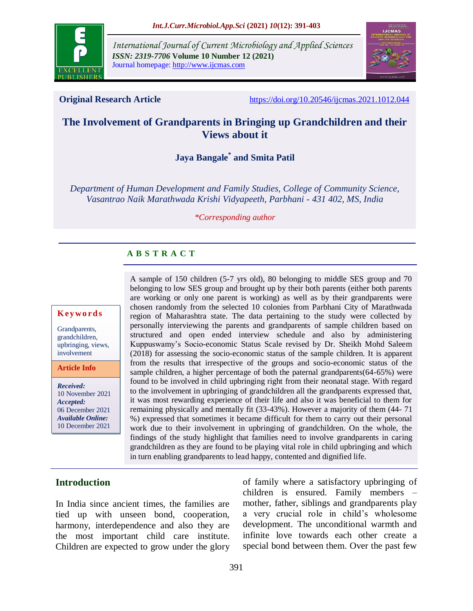

*International Journal of Current Microbiology and Applied Sciences ISSN: 2319-7706* **Volume 10 Number 12 (2021)**  Journal homepage: http://www.ijcmas.com



**Original Research Article** <https://doi.org/10.20546/ijcmas.2021.1012.044>

# **The Involvement of Grandparents in Bringing up Grandchildren and their Views about it**

**Jaya Bangale\* and Smita Patil**

*Department of Human Development and Family Studies, College of Community Science, Vasantrao Naik Marathwada Krishi Vidyapeeth, Parbhani - 431 402, MS, India*

*\*Corresponding author*

## **A B S T R A C T**

#### **K ey w o rd s**

Grandparents, grandchildren, upbringing, views, involvement

**Article Info**

*Received:*  10 November 2021 *Accepted:*  06 December 2021 *Available Online:* 10 December 2021

A sample of 150 children (5-7 yrs old), 80 belonging to middle SES group and 70 belonging to low SES group and brought up by their both parents (either both parents are working or only one parent is working) as well as by their grandparents were chosen randomly from the selected 10 colonies from Parbhani City of Marathwada region of Maharashtra state. The data pertaining to the study were collected by personally interviewing the parents and grandparents of sample children based on structured and open ended interview schedule and also by administering Kuppuswamy's Socio-economic Status Scale revised by Dr. Sheikh Mohd Saleem (2018) for assessing the socio-economic status of the sample children. It is apparent from the results that irrespective of the groups and socio-economic status of the sample children, a higher percentage of both the paternal grandparents $(64-65%)$  were found to be involved in child upbringing right from their neonatal stage. With regard to the involvement in upbringing of grandchildren all the grandparents expressed that, it was most rewarding experience of their life and also it was beneficial to them for remaining physically and mentally fit (33-43%). However a majority of them (44- 71 %) expressed that sometimes it became difficult for them to carry out their personal work due to their involvement in upbringing of grandchildren. On the whole, the findings of the study highlight that families need to involve grandparents in caring grandchildren as they are found to be playing vital role in child upbringing and which in turn enabling grandparents to lead happy, contented and dignified life.

## **Introduction**

In India since ancient times, the families are tied up with unseen bond, cooperation, harmony, interdependence and also they are the most important child care institute. Children are expected to grow under the glory of family where a satisfactory upbringing of children is ensured. Family members – mother, father, siblings and grandparents play a very crucial role in child's wholesome development. The unconditional warmth and infinite love towards each other create a special bond between them. Over the past few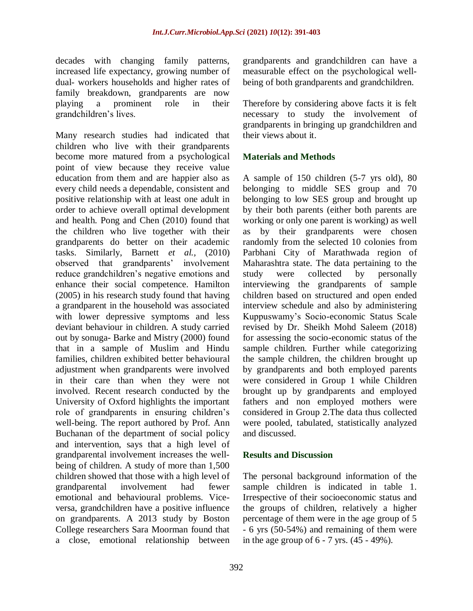decades with changing family patterns, increased life expectancy, growing number of dual- workers households and higher rates of family breakdown, grandparents are now playing a prominent role in their grandchildren's lives.

Many research studies had indicated that children who live with their grandparents become more matured from a psychological point of view because they receive value education from them and are happier also as every child needs a dependable, consistent and positive relationship with at least one adult in order to achieve overall optimal development and health. Pong and Chen (2010) found that the children who live together with their grandparents do better on their academic tasks. Similarly, Barnett *et al.,* (2010) observed that grandparents' involvement reduce grandchildren's negative emotions and enhance their social competence. Hamilton (2005) in his research study found that having a grandparent in the household was associated with lower depressive symptoms and less deviant behaviour in children. A study carried out by sonuga- Barke and Mistry (2000) found that in a sample of Muslim and Hindu families, children exhibited better behavioural adjustment when grandparents were involved in their care than when they were not involved. Recent research conducted by the University of Oxford highlights the important role of grandparents in ensuring children's well-being. The report authored by Prof. Ann Buchanan of the department of social policy and intervention, says that a high level of grandparental involvement increases the wellbeing of children. A study of more than 1,500 children showed that those with a high level of grandparental involvement had fewer emotional and behavioural problems. Viceversa, grandchildren have a positive influence on grandparents. A 2013 study by Boston College researchers Sara Moorman found that a close, emotional relationship between

grandparents and grandchildren can have a measurable effect on the psychological wellbeing of both grandparents and grandchildren.

Therefore by considering above facts it is felt necessary to study the involvement of grandparents in bringing up grandchildren and their views about it.

#### **Materials and Methods**

A sample of 150 children (5-7 yrs old), 80 belonging to middle SES group and 70 belonging to low SES group and brought up by their both parents (either both parents are working or only one parent is working) as well as by their grandparents were chosen randomly from the selected 10 colonies from Parbhani City of Marathwada region of Maharashtra state. The data pertaining to the study were collected by personally interviewing the grandparents of sample children based on structured and open ended interview schedule and also by administering Kuppuswamy's Socio-economic Status Scale revised by Dr. Sheikh Mohd Saleem (2018) for assessing the socio-economic status of the sample children. Further while categorizing the sample children, the children brought up by grandparents and both employed parents were considered in Group 1 while Children brought up by grandparents and employed fathers and non employed mothers were considered in Group 2.The data thus collected were pooled, tabulated, statistically analyzed and discussed.

#### **Results and Discussion**

The personal background information of the sample children is indicated in table 1. Irrespective of their socioeconomic status and the groups of children, relatively a higher percentage of them were in the age group of 5 - 6 yrs (50-54%) and remaining of them were in the age group of  $6 - 7$  yrs.  $(45 - 49\%)$ .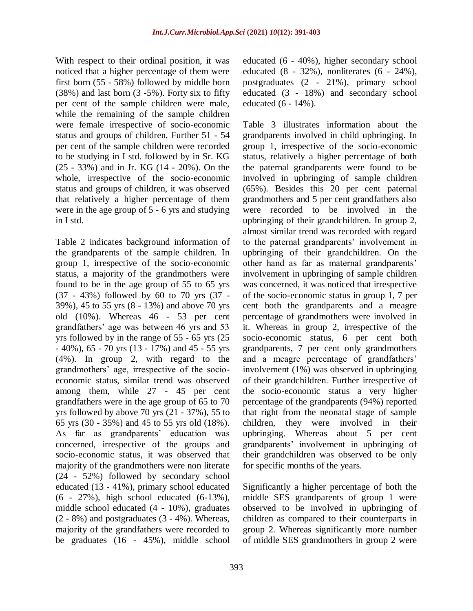With respect to their ordinal position, it was noticed that a higher percentage of them were first born (55 - 58%) followed by middle born (38%) and last born (3 -5%). Forty six to fifty per cent of the sample children were male, while the remaining of the sample children were female irrespective of socio-economic status and groups of children. Further 51 - 54 per cent of the sample children were recorded to be studying in I std. followed by in Sr. KG (25 - 33%) and in Jr. KG (14 - 20%). On the whole, irrespective of the socio-economic status and groups of children, it was observed that relatively a higher percentage of them were in the age group of 5 - 6 yrs and studying in I std.

Table 2 indicates background information of the grandparents of the sample children. In group 1, irrespective of the socio-economic status, a majority of the grandmothers were found to be in the age group of 55 to 65 yrs (37 - 43%) followed by 60 to 70 yrs (37 - 39%), 45 to 55 yrs (8 - 13%) and above 70 yrs old (10%). Whereas 46 - 53 per cent grandfathers' age was between 46 yrs and 53 yrs followed by in the range of 55 - 65 yrs (25 - 40%), 65 - 70 yrs (13 - 17%) and 45 - 55 yrs (4%). In group 2, with regard to the grandmothers' age, irrespective of the socioeconomic status, similar trend was observed among them, while 27 - 45 per cent grandfathers were in the age group of 65 to 70 yrs followed by above 70 yrs (21 - 37%), 55 to 65 yrs (30 - 35%) and 45 to 55 yrs old (18%). As far as grandparents' education was concerned, irrespective of the groups and socio-economic status, it was observed that majority of the grandmothers were non literate (24 - 52%) followed by secondary school educated (13 - 41%), primary school educated (6 - 27%), high school educated (6-13%), middle school educated (4 - 10%), graduates (2 - 8%) and postgraduates (3 - 4%). Whereas, majority of the grandfathers were recorded to be graduates (16 - 45%), middle school educated (6 - 40%), higher secondary school educated (8 - 32%), nonliterates (6 - 24%), postgraduates (2 - 21%), primary school educated (3 - 18%) and secondary school educated (6 - 14%).

Table 3 illustrates information about the grandparents involved in child upbringing. In group 1, irrespective of the socio-economic status, relatively a higher percentage of both the paternal grandparents were found to be involved in upbringing of sample children (65%). Besides this 20 per cent paternal grandmothers and 5 per cent grandfathers also were recorded to be involved in the upbringing of their grandchildren. In group 2, almost similar trend was recorded with regard to the paternal grandparents' involvement in upbringing of their grandchildren. On the other hand as far as maternal grandparents' involvement in upbringing of sample children was concerned, it was noticed that irrespective of the socio-economic status in group 1, 7 per cent both the grandparents and a meagre percentage of grandmothers were involved in it. Whereas in group 2, irrespective of the socio-economic status, 6 per cent both grandparents, 7 per cent only grandmothers and a meagre percentage of grandfathers' involvement (1%) was observed in upbringing of their grandchildren. Further irrespective of the socio-economic status a very higher percentage of the grandparents (94%) reported that right from the neonatal stage of sample children, they were involved in their upbringing. Whereas about 5 per cent grandparents' involvement in upbringing of their grandchildren was observed to be only for specific months of the years.

Significantly a higher percentage of both the middle SES grandparents of group 1 were observed to be involved in upbringing of children as compared to their counterparts in group 2. Whereas significantly more number of middle SES grandmothers in group 2 were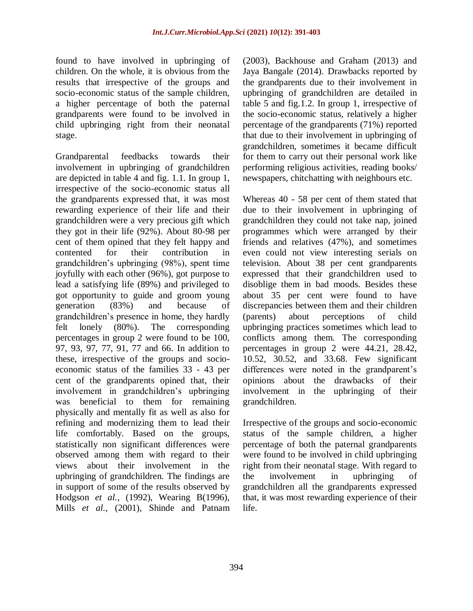found to have involved in upbringing of children. On the whole, it is obvious from the results that irrespective of the groups and socio-economic status of the sample children, a higher percentage of both the paternal grandparents were found to be involved in child upbringing right from their neonatal stage.

Grandparental feedbacks towards their involvement in upbringing of grandchildren are depicted in table 4 and fig. 1.1. In group 1, irrespective of the socio-economic status all the grandparents expressed that, it was most rewarding experience of their life and their grandchildren were a very precious gift which they got in their life (92%). About 80-98 per cent of them opined that they felt happy and contented for their contribution in grandchildren's upbringing (98%), spent time joyfully with each other (96%), got purpose to lead a satisfying life (89%) and privileged to got opportunity to guide and groom young generation (83%) and because of grandchildren's presence in home, they hardly felt lonely (80%). The corresponding percentages in group 2 were found to be 100, 97, 93, 97, 77, 91, 77 and 66. In addition to these, irrespective of the groups and socioeconomic status of the families 33 - 43 per cent of the grandparents opined that, their involvement in grandchildren's upbringing was beneficial to them for remaining physically and mentally fit as well as also for refining and modernizing them to lead their life comfortably. Based on the groups, statistically non significant differences were observed among them with regard to their views about their involvement in the upbringing of grandchildren. The findings are in support of some of the results observed by Hodgson *et al.,* (1992), Wearing B(1996), Mills *et al.,* (2001), Shinde and Patnam (2003), Backhouse and Graham (2013) and Jaya Bangale (2014). Drawbacks reported by the grandparents due to their involvement in upbringing of grandchildren are detailed in table 5 and fig.1.2. In group 1, irrespective of the socio-economic status, relatively a higher percentage of the grandparents (71%) reported that due to their involvement in upbringing of grandchildren, sometimes it became difficult for them to carry out their personal work like performing religious activities, reading books/ newspapers, chitchatting with neighbours etc.

Whereas 40 - 58 per cent of them stated that due to their involvement in upbringing of grandchildren they could not take nap, joined programmes which were arranged by their friends and relatives (47%), and sometimes even could not view interesting serials on television. About 38 per cent grandparents expressed that their grandchildren used to disoblige them in bad moods. Besides these about 35 per cent were found to have discrepancies between them and their children (parents) about perceptions of child upbringing practices sometimes which lead to conflicts among them. The corresponding percentages in group 2 were 44.21, 28.42, 10.52, 30.52, and 33.68. Few significant differences were noted in the grandparent's opinions about the drawbacks of their involvement in the upbringing of their grandchildren.

Irrespective of the groups and socio-economic status of the sample children, a higher percentage of both the paternal grandparents were found to be involved in child upbringing right from their neonatal stage. With regard to the involvement in upbringing of grandchildren all the grandparents expressed that, it was most rewarding experience of their life.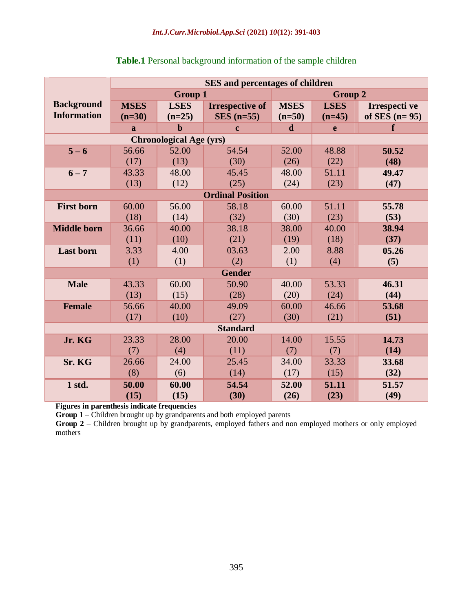|                    | <b>SES</b> and percentages of children |                                |                         |             |                |                 |  |  |  |  |
|--------------------|----------------------------------------|--------------------------------|-------------------------|-------------|----------------|-----------------|--|--|--|--|
|                    |                                        | <b>Group 1</b>                 |                         |             | <b>Group 2</b> |                 |  |  |  |  |
| <b>Background</b>  | <b>MSES</b>                            | <b>LSES</b>                    | <b>Irrespective of</b>  | <b>MSES</b> | <b>LSES</b>    | Irrespecti ve   |  |  |  |  |
| <b>Information</b> | $(n=30)$                               | $(n=25)$                       | $SES$ (n=55)            | $(n=50)$    | $(n=45)$       | of SES $(n=95)$ |  |  |  |  |
|                    | a                                      | $\mathbf b$                    | $\mathbf c$             | $\mathbf d$ | e              | f               |  |  |  |  |
|                    |                                        | <b>Chronological Age (yrs)</b> |                         |             |                |                 |  |  |  |  |
| $5 - 6$            | 56.66                                  | 52.00                          | 54.54                   | 52.00       | 48.88          | 50.52           |  |  |  |  |
|                    | (17)                                   | (13)                           | (30)                    | (26)        | (22)           | (48)            |  |  |  |  |
| $6 - 7$            | 43.33                                  | 48.00                          | 45.45                   | 48.00       | 51.11          | 49.47           |  |  |  |  |
|                    | (13)                                   | (12)                           | (25)                    | (24)        | (23)           | (47)            |  |  |  |  |
|                    |                                        |                                | <b>Ordinal Position</b> |             |                |                 |  |  |  |  |
| <b>First born</b>  | 60.00                                  | 56.00                          | 58.18                   | 60.00       | 51.11          | 55.78           |  |  |  |  |
|                    | (18)                                   | (14)                           | (32)                    | (30)        | (23)           | (53)            |  |  |  |  |
| <b>Middle born</b> | 36.66                                  | 40.00                          | 38.18                   | 38.00       | 40.00          | 38.94           |  |  |  |  |
|                    | (11)                                   | (10)                           | (21)                    | (19)        | (18)           | (37)            |  |  |  |  |
| <b>Last born</b>   | 3.33                                   | 4.00                           | 03.63                   | 2.00        | 8.88           | 05.26           |  |  |  |  |
|                    | (1)                                    | (1)                            | (2)                     | (1)         | (4)            | (5)             |  |  |  |  |
|                    |                                        |                                | <b>Gender</b>           |             |                |                 |  |  |  |  |
| <b>Male</b>        | 43.33                                  | 60.00                          | 50.90                   | 40.00       | 53.33          | 46.31           |  |  |  |  |
|                    | (13)                                   | (15)                           | (28)                    | (20)        | (24)           | (44)            |  |  |  |  |
| <b>Female</b>      | 56.66                                  | 40.00                          | 49.09                   | 60.00       | 46.66          | 53.68           |  |  |  |  |
|                    | (17)                                   | (10)                           | (27)                    | (30)        | (21)           | (51)            |  |  |  |  |
|                    |                                        |                                | <b>Standard</b>         |             |                |                 |  |  |  |  |
| Jr. KG             | 23.33                                  | 28.00                          | 20.00                   | 14.00       | 15.55          | 14.73           |  |  |  |  |
|                    | (7)                                    | (4)                            | (11)                    | (7)         | (7)            | (14)            |  |  |  |  |
| Sr. KG             | 26.66                                  | 24.00                          | 25.45                   | 34.00       | 33.33          | 33.68           |  |  |  |  |
|                    | (8)                                    | (6)                            | (14)                    | (17)        | (15)           | (32)            |  |  |  |  |
| 1 std.             | 50.00                                  | 60.00                          | 54.54                   | 52.00       | 51.11          | 51.57           |  |  |  |  |
|                    | (15)                                   | (15)                           | (30)                    | (26)        | (23)           | (49)            |  |  |  |  |

## **Table.1** Personal background information of the sample children

**Figures in parenthesis indicate frequencies**

**Group 1** – Children brought up by grandparents and both employed parents

Group 2 – Children brought up by grandparents, employed fathers and non employed mothers or only employed mothers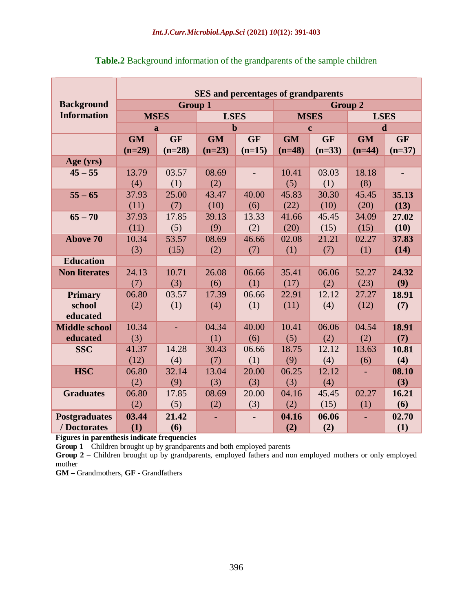|                        | <b>SES</b> and percentages of grandparents |                                  |              |              |                            |              |                        |              |  |  |  |  |
|------------------------|--------------------------------------------|----------------------------------|--------------|--------------|----------------------------|--------------|------------------------|--------------|--|--|--|--|
| <b>Background</b>      |                                            | <b>Group 1</b><br><b>Group 2</b> |              |              |                            |              |                        |              |  |  |  |  |
| <b>Information</b>     |                                            | <b>MSES</b>                      | <b>LSES</b>  |              | <b>MSES</b><br><b>LSES</b> |              |                        |              |  |  |  |  |
|                        |                                            | a                                | $\mathbf b$  |              |                            | $\mathbf c$  |                        | $\mathbf d$  |  |  |  |  |
|                        | <b>GM</b>                                  | <b>GF</b>                        | <b>GM</b>    | <b>GF</b>    | <b>GF</b><br><b>GM</b>     |              | <b>GF</b><br><b>GM</b> |              |  |  |  |  |
|                        | $(n=29)$                                   | $(n=28)$                         | $(n=23)$     | $(n=15)$     | $(n=48)$                   | $(n=33)$     | $(n=44)$               | $(n=37)$     |  |  |  |  |
| Age (yrs)              |                                            |                                  |              |              |                            |              |                        |              |  |  |  |  |
| $45 - 55$              | 13.79                                      | 03.57                            | 08.69        |              | 10.41                      | 03.03        | 18.18                  |              |  |  |  |  |
|                        | (4)                                        | (1)                              | (2)          |              | (5)                        | (1)          | (8)                    |              |  |  |  |  |
| $55 - 65$              | 37.93                                      | 25.00                            | 43.47        | 40.00        | 45.83                      | 30.30        | 45.45                  | 35.13        |  |  |  |  |
|                        | (11)                                       | (7)                              | (10)         | (6)          | (22)                       | (10)         | (20)                   | (13)         |  |  |  |  |
| $65 - 70$              | 37.93                                      | 17.85                            | 39.13        | 13.33        | 41.66                      | 45.45        | 34.09                  | 27.02        |  |  |  |  |
|                        | (11)                                       | (5)                              | (9)          | (2)          | (20)                       | (15)         | (15)                   | (10)         |  |  |  |  |
| <b>Above 70</b>        | 10.34                                      | 53.57                            | 08.69        | 46.66        | 02.08                      | 21.21        | 02.27                  | 37.83        |  |  |  |  |
|                        | (3)                                        | (15)                             | (2)          | (7)          | (1)                        | (7)          | (1)                    | (14)         |  |  |  |  |
| <b>Education</b>       |                                            |                                  |              |              |                            |              |                        |              |  |  |  |  |
| <b>Non literates</b>   | 24.13                                      | 10.71                            | 26.08        | 06.66        | 35.41                      | 06.06        | 52.27                  | 24.32        |  |  |  |  |
|                        | (7)                                        | (3)                              | (6)          | (1)          | (17)                       | (2)          | (23)                   | (9)          |  |  |  |  |
| <b>Primary</b>         | 06.80                                      | 03.57                            | 17.39        | 06.66        | 22.91                      | 12.12        | 27.27                  | 18.91        |  |  |  |  |
| school                 | (2)                                        | (1)                              | (4)          | (1)          | (11)                       | (4)          | (12)                   | (7)          |  |  |  |  |
| educated               |                                            |                                  |              |              |                            |              |                        |              |  |  |  |  |
| <b>Middle school</b>   | 10.34                                      |                                  | 04.34        | 40.00        | 10.41                      | 06.06        | 04.54                  | 18.91        |  |  |  |  |
| educated<br><b>SSC</b> | (3)<br>41.37                               | 14.28                            | (1)<br>30.43 | (6)<br>06.66 | (5)<br>18.75               | (2)<br>12.12 | (2)<br>13.63           | (7)<br>10.81 |  |  |  |  |
|                        | (12)                                       | (4)                              | (7)          | (1)          | (9)                        | (4)          | (6)                    | (4)          |  |  |  |  |
| <b>HSC</b>             | 06.80                                      | 32.14                            | 13.04        | 20.00        | 06.25                      | 12.12        |                        | 08.10        |  |  |  |  |
|                        | (2)                                        | (9)                              | (3)          | (3)          | (3)                        | (4)          |                        | (3)          |  |  |  |  |
| <b>Graduates</b>       | 06.80                                      | 17.85                            | 08.69        | 20.00        | 04.16                      | 45.45        | 02.27                  | 16.21        |  |  |  |  |
|                        | (2)                                        | (5)                              | (2)          | (3)          | (2)                        | (15)         | (1)                    | (6)          |  |  |  |  |
| <b>Postgraduates</b>   | 03.44                                      | 21.42                            |              | ٠            | 04.16                      | 06.06        | ä,                     | 02.70        |  |  |  |  |
| / Doctorates           | (1)                                        | (6)                              |              |              | (2)                        | (2)          |                        | (1)          |  |  |  |  |

**Table.2** Background information of the grandparents of the sample children

**Figures in parenthesis indicate frequencies**

**Group 1** – Children brought up by grandparents and both employed parents

Group 2 – Children brought up by grandparents, employed fathers and non employed mothers or only employed mother

**GM –** Grandmothers, **GF -** Grandfathers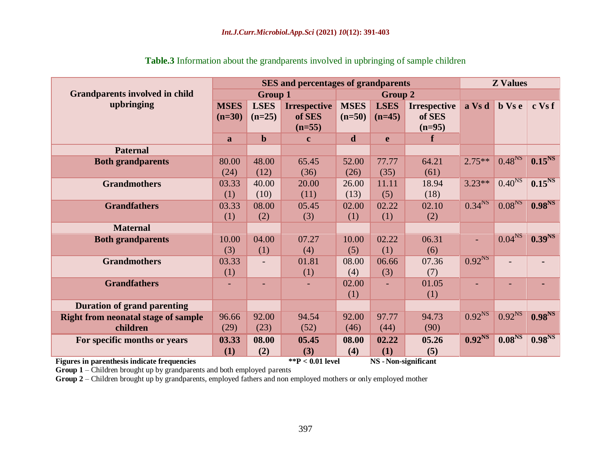|                                            |             |                | <b>SES</b> and percentages of grandparents |             |                |                     | <b>Z</b> Values    |                    |                    |  |
|--------------------------------------------|-------------|----------------|--------------------------------------------|-------------|----------------|---------------------|--------------------|--------------------|--------------------|--|
| <b>Grandparents involved in child</b>      |             | <b>Group 1</b> |                                            |             | <b>Group 2</b> |                     |                    |                    |                    |  |
| upbringing                                 | <b>MSES</b> | <b>LSES</b>    | <b>Irrespective</b>                        | <b>MSES</b> | <b>LSES</b>    | <b>Irrespective</b> | a Vs d             | $b$ Vs e           | c Vs f             |  |
|                                            | $(n=30)$    | $(n=25)$       | of SES                                     | $(n=50)$    | $(n=45)$       | of SES              |                    |                    |                    |  |
|                                            |             |                | $(n=55)$                                   |             |                | $(n=95)$            |                    |                    |                    |  |
|                                            | a           | $\mathbf b$    | $\mathbf c$                                | d           | e              | f                   |                    |                    |                    |  |
| <b>Paternal</b>                            |             |                |                                            |             |                |                     |                    |                    |                    |  |
| <b>Both grandparents</b>                   | 80.00       | 48.00          | 65.45                                      | 52.00       | 77.77          | 64.21               | $2.75**$           | 0.48 <sup>NS</sup> | 0.15 <sup>NS</sup> |  |
|                                            | (24)        | (12)           | (36)                                       | (26)        | (35)           | (61)                |                    |                    |                    |  |
| <b>Grandmothers</b>                        | 03.33       | 40.00          | 20.00                                      | 26.00       | 11.11          | 18.94               | $3.23**$           | 0.40 <sup>NS</sup> | 0.15 <sup>NS</sup> |  |
|                                            | (1)         | (10)           | (11)                                       | (13)        | (5)            | (18)                |                    |                    |                    |  |
| <b>Grandfathers</b>                        | 03.33       | 08.00          | 05.45                                      | 02.00       | 02.22          | 02.10               | 0.34 <sup>NS</sup> | 0.08 <sup>NS</sup> | 0.98 <sup>NS</sup> |  |
|                                            | (1)         | (2)            | (3)                                        | (1)         | (1)            | (2)                 |                    |                    |                    |  |
| <b>Maternal</b>                            |             |                |                                            |             |                |                     |                    |                    |                    |  |
| <b>Both grandparents</b>                   | 10.00       | 04.00          | 07.27                                      | 10.00       | 02.22          | 06.31               | $\blacksquare$     | 0.04 <sup>NS</sup> | 0.39 <sup>NS</sup> |  |
|                                            | (3)         | (1)            | (4)                                        | (5)         | (1)            | (6)                 |                    |                    |                    |  |
| <b>Grandmothers</b>                        | 03.33       |                | 01.81                                      | 08.00       | 06.66          | 07.36               | 0.92 <sup>NS</sup> |                    |                    |  |
|                                            | (1)         |                | (1)                                        | (4)         | (3)            | (7)                 |                    |                    |                    |  |
| <b>Grandfathers</b>                        |             |                |                                            | 02.00       | $\blacksquare$ | 01.05               |                    |                    |                    |  |
|                                            |             |                |                                            | (1)         |                | (1)                 |                    |                    |                    |  |
| <b>Duration of grand parenting</b>         |             |                |                                            |             |                |                     |                    |                    |                    |  |
| <b>Right from neonatal stage of sample</b> | 96.66       | 92.00          | 94.54                                      | 92.00       | 97.77          | 94.73               | $0.92^{NS}$        | 0.92 <sup>NS</sup> | 0.98 <sup>NS</sup> |  |
| children                                   | (29)        | (23)           | (52)                                       | (46)        | (44)           | (90)                |                    |                    |                    |  |
| For specific months or years               | 03.33       | 08.00          | 05.45                                      | 08.00       | 02.22          | 05.26               | 0.92 <sup>NS</sup> | 0.08 <sup>NS</sup> | 0.98 <sup>NS</sup> |  |
|                                            | (1)         | (2)            | (3)                                        | (4)         | (1)            | (5)                 |                    |                    |                    |  |

**Table.3** Information about the grandparents involved in upbringing of sample children

**Figures in parenthesis indicate frequencies \*\*P < 0.01 level NS -Non-significant** 

**Group 1** – Children brought up by grandparents and both employed parents

**Group 2** – Children brought up by grandparents, employed fathers and non employed mothers or only employed mother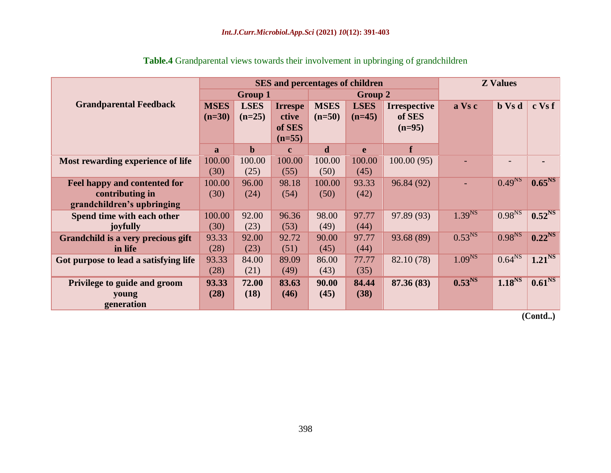|                                       |              |                |                | <b>SES</b> and percentages of children |             |                     | <b>Z</b> Values    |                    |                    |  |
|---------------------------------------|--------------|----------------|----------------|----------------------------------------|-------------|---------------------|--------------------|--------------------|--------------------|--|
|                                       |              | <b>Group 1</b> |                |                                        | Group 2     |                     |                    |                    |                    |  |
| <b>Grandparental Feedback</b>         | <b>MSES</b>  | <b>LSES</b>    | <b>Irrespe</b> | <b>MSES</b>                            | <b>LSES</b> | <b>Irrespective</b> | a Vs c             | <b>b</b> Vs d      | c Vs f             |  |
|                                       | $(n=30)$     | $(n=25)$       | ctive          | $(n=50)$                               | $(n=45)$    | of SES              |                    |                    |                    |  |
|                                       |              |                | of SES         |                                        |             | $(n=95)$            |                    |                    |                    |  |
|                                       |              |                | $(n=55)$       |                                        |             |                     |                    |                    |                    |  |
|                                       | $\mathbf{a}$ | $\mathbf b$    | $\mathbf{c}$   | d                                      | e           |                     |                    |                    |                    |  |
| Most rewarding experience of life     | 100.00       | 100.00         | 100.00         | 100.00                                 | 100.00      | 100.00(95)          |                    |                    |                    |  |
|                                       | (30)         | (25)           | (55)           | (50)                                   | (45)        |                     |                    |                    |                    |  |
| Feel happy and contented for          | 100.00       | 96.00          | 98.18          | 100.00                                 | 93.33       | 96.84 (92)          |                    | 0.49 <sup>NS</sup> | 0.65 <sup>NS</sup> |  |
| contributing in                       | (30)         | (24)           | (54)           | (50)                                   | (42)        |                     |                    |                    |                    |  |
| grandchildren's upbringing            |              |                |                |                                        |             |                     |                    |                    |                    |  |
| Spend time with each other            | 100.00       | 92.00          | 96.36          | 98.00                                  | 97.77       | 97.89 (93)          | 1.39 <sup>NS</sup> | 0.98 <sup>NS</sup> | 0.52 <sup>NS</sup> |  |
| joyfully                              | (30)         | (23)           | (53)           | (49)                                   | (44)        |                     |                    |                    |                    |  |
| Grandchild is a very precious gift    | 93.33        | 92.00          | 92.72          | 90.00                                  | 97.77       | 93.68 (89)          | 0.53 <sup>NS</sup> | 0.98 <sup>NS</sup> | 0.22 <sup>NS</sup> |  |
| in life                               | (28)         | (23)           | (51)           | (45)                                   | (44)        |                     |                    |                    |                    |  |
| Got purpose to lead a satisfying life | 93.33        | 84.00          | 89.09          | 86.00                                  | 77.77       | 82.10 (78)          | 1.09 <sup>NS</sup> | 0.64 <sup>NS</sup> | 1.21 <sup>NS</sup> |  |
|                                       | (28)         | (21)           | (49)           | (43)                                   | (35)        |                     |                    |                    |                    |  |
| Privilege to guide and groom          | 93.33        | 72.00          | 83.63          | 90.00                                  | 84.44       | 87.36(83)           | 0.53 <sup>NS</sup> | 1.18 <sup>NS</sup> | 0.61 <sup>NS</sup> |  |
| young                                 | (28)         | (18)           | (46)           | (45)                                   | (38)        |                     |                    |                    |                    |  |
| generation                            |              |                |                |                                        |             |                     |                    |                    |                    |  |

## **Table.4** Grandparental views towards their involvement in upbringing of grandchildren

**(Contd..)**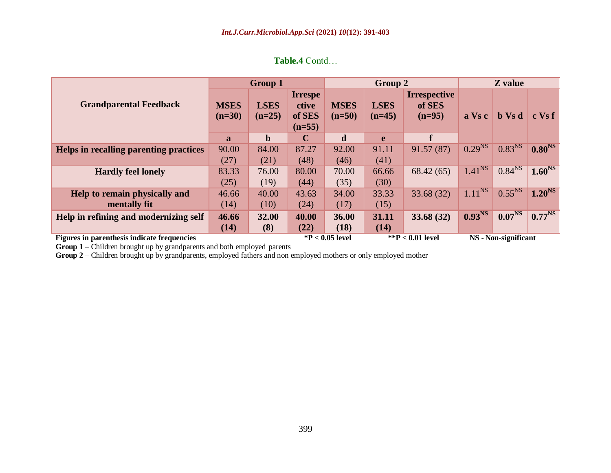|                                                    |                         | <b>Group 1</b>          |                                               |                         | Group 2                 |                                           |                    | Z value              |                    |
|----------------------------------------------------|-------------------------|-------------------------|-----------------------------------------------|-------------------------|-------------------------|-------------------------------------------|--------------------|----------------------|--------------------|
| <b>Grandparental Feedback</b>                      | <b>MSES</b><br>$(n=30)$ | <b>LSES</b><br>$(n=25)$ | <b>Irrespe</b><br>ctive<br>of SES<br>$(n=55)$ | <b>MSES</b><br>$(n=50)$ | <b>LSES</b><br>$(n=45)$ | <b>Irrespective</b><br>of SES<br>$(n=95)$ | a Vs c             | <b>b</b> Vs d        | $c$ Vs $f$         |
|                                                    | $\mathbf{a}$            | $\mathbf b$             | $\mathbf C$                                   | $\mathbf d$             | e                       | f                                         |                    |                      |                    |
| Helps in recalling parenting practices             | 90.00                   | 84.00                   | 87.27                                         | 92.00                   | 91.11                   | 91.57(87)                                 | 0.29 <sup>NS</sup> | 0.83 <sup>NS</sup>   | 0.80 <sup>NS</sup> |
|                                                    | (27)                    | (21)                    | (48)                                          | (46)                    | (41)                    |                                           |                    |                      |                    |
| <b>Hardly feel lonely</b>                          | 83.33                   | 76.00                   | 80.00                                         | 70.00                   | 66.66                   | 68.42(65)                                 | 1.41 <sup>NS</sup> | 0.84 <sup>NS</sup>   | 1.60 <sup>NS</sup> |
|                                                    | (25)                    | (19)                    | (44)                                          | (35)                    | (30)                    |                                           |                    |                      |                    |
| Help to remain physically and                      | 46.66                   | 40.00                   | 43.63                                         | 34.00                   | 33.33                   | 33.68 (32)                                | 1.11 <sup>NS</sup> | 0.55 <sup>NS</sup>   | 1.20 <sup>NS</sup> |
| mentally fit                                       | (14)                    | (10)                    | (24)                                          | (17)                    | (15)                    |                                           |                    |                      |                    |
| Help in refining and modernizing self              | 46.66                   | 32.00                   | 40.00                                         | 36.00                   | 31.11                   | 33.68(32)                                 | 0.93 <sup>NS</sup> | 0.07 <sup>NS</sup>   | $0.77^{NS}$        |
|                                                    | (14)                    | (8)                     | (22)                                          | (18)                    | (14)                    |                                           |                    |                      |                    |
| <b>Figures in parenthesis indicate frequencies</b> |                         |                         |                                               | $*P < 0.05$ level       |                         | ** $P < 0.01$ level                       |                    | NS - Non-significant |                    |

**Table.4** Contd…

**Group 1** – Children brought up by grandparents and both employed parents

**Group 2** – Children brought up by grandparents, employed fathers and non employed mothers or only employed mother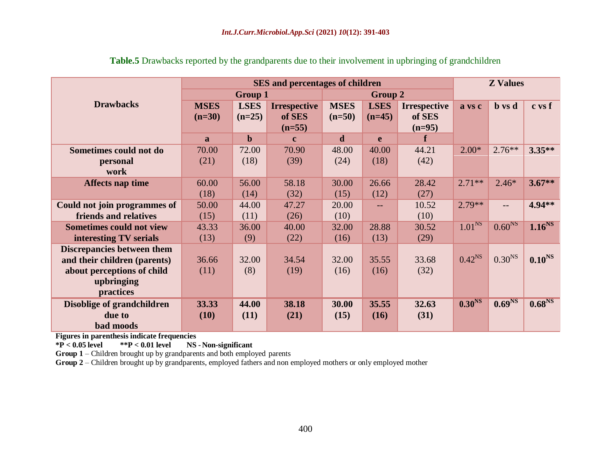|                                   |              |                | <b>SES</b> and percentages of children |             |             |                     | <b>Z</b> Values    |                    |                    |  |
|-----------------------------------|--------------|----------------|----------------------------------------|-------------|-------------|---------------------|--------------------|--------------------|--------------------|--|
|                                   |              | <b>Group 1</b> |                                        |             | Group 2     |                     |                    |                    |                    |  |
| <b>Drawbacks</b>                  | <b>MSES</b>  | <b>LSES</b>    | <b>Irrespective</b>                    | <b>MSES</b> | <b>LSES</b> | <b>Irrespective</b> | a vs c             | <b>b</b> vs d      | c vs f             |  |
|                                   | $(n=30)$     | $(n=25)$       | of SES                                 | $(n=50)$    | $(n=45)$    | of SES              |                    |                    |                    |  |
|                                   |              |                | $(n=55)$                               |             |             | $(n=95)$            |                    |                    |                    |  |
|                                   | $\mathbf{a}$ | $\mathbf b$    | $\mathbf{c}$                           | $\mathbf d$ | e           | $\mathbf f$         |                    |                    |                    |  |
| Sometimes could not do            | 70.00        | 72.00          | 70.90                                  | 48.00       | 40.00       | 44.21               | $2.00*$            | $2.76**$           | $3.35**$           |  |
| personal                          | (21)         | (18)           | (39)                                   | (24)        | (18)        | (42)                |                    |                    |                    |  |
| work                              |              |                |                                        |             |             |                     |                    |                    |                    |  |
| <b>Affects nap time</b>           | 60.00        | 56.00          | 58.18                                  | 30.00       | 26.66       | 28.42               | $2.71**$           | $2.46*$            | $3.67**$           |  |
|                                   | (18)         | (14)           | (32)                                   | (15)        | (12)        | (27)                |                    |                    |                    |  |
| Could not join programmes of      | 50.00        | 44.00          | 47.27                                  | 20.00       | $- -$       | 10.52               | $2.79**$           | $-$                | 4.94**             |  |
| friends and relatives             | (15)         | (11)           | (26)                                   | (10)        |             | (10)                |                    |                    |                    |  |
| <b>Sometimes could not view</b>   | 43.33        | 36.00          | 40.00                                  | 32.00       | 28.88       | 30.52               | 1.01 <sup>NS</sup> | 0.60 <sup>NS</sup> | 1.16 <sup>NS</sup> |  |
| interesting TV serials            | (13)         | (9)            | (22)                                   | (16)        | (13)        | (29)                |                    |                    |                    |  |
| <b>Discrepancies between them</b> |              |                |                                        |             |             |                     |                    |                    |                    |  |
| and their children (parents)      | 36.66        | 32.00          | 34.54                                  | 32.00       | 35.55       | 33.68               | $0.42^{NS}$        | $0.30^{NS}$        | 0.10 <sup>NS</sup> |  |
| about perceptions of child        | (11)         | (8)            | (19)                                   | (16)        | (16)        | (32)                |                    |                    |                    |  |
| upbringing                        |              |                |                                        |             |             |                     |                    |                    |                    |  |
| practices                         |              |                |                                        |             |             |                     |                    |                    |                    |  |
| Disoblige of grandchildren        | 33.33        | 44.00          | 38.18                                  | 30.00       | 35.55       | 32.63               | 0.30 <sup>NS</sup> | 0.69 <sup>NS</sup> | 0.68 <sup>NS</sup> |  |
| due to                            | (10)         | (11)           | (21)                                   | (15)        | (16)        | (31)                |                    |                    |                    |  |
| bad moods                         |              |                |                                        |             |             |                     |                    |                    |                    |  |

**Table.5** Drawbacks reported by the grandparents due to their involvement in upbringing of grandchildren

**Figures in parenthesis indicate frequencies**<br>\*P < 0.05 level \*\*P < 0.01 level NS

**NS** - Non-significant

**Group 1** – Children brought up by grandparents and both employed parents

**Group 2** – Children brought up by grandparents, employed fathers and non employed mothers or only employed mother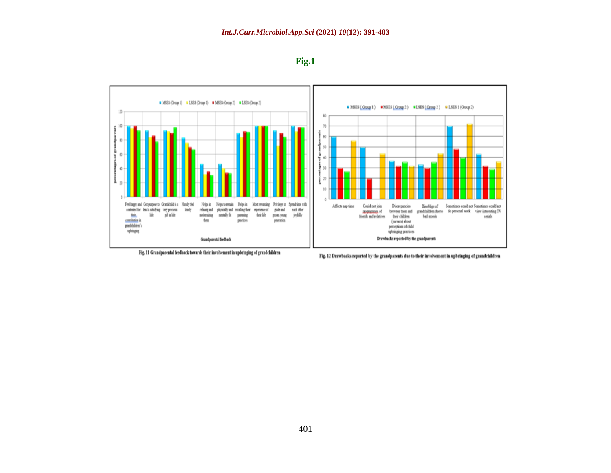



Fig. 11 Grandparental feedback towards their involvement in upbringing of grandchildren

Fig. 12 Drawbacks reported by the grandparents due to their involvement in upbringing of grandchildren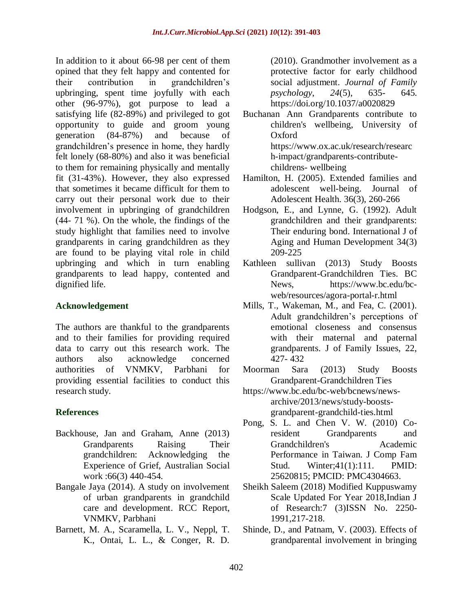In addition to it about 66-98 per cent of them opined that they felt happy and contented for their contribution in grandchildren's upbringing, spent time joyfully with each other (96-97%), got purpose to lead a satisfying life (82-89%) and privileged to got opportunity to guide and groom young generation (84-87%) and because of grandchildren's presence in home, they hardly felt lonely (68-80%) and also it was beneficial to them for remaining physically and mentally fit (31-43%). However, they also expressed that sometimes it became difficult for them to carry out their personal work due to their involvement in upbringing of grandchildren (44- 71 %). On the whole, the findings of the study highlight that families need to involve grandparents in caring grandchildren as they are found to be playing vital role in child upbringing and which in turn enabling grandparents to lead happy, contented and dignified life.

#### **Acknowledgement**

The authors are thankful to the grandparents and to their families for providing required data to carry out this research work. The authors also acknowledge concerned authorities of VNMKV, Parbhani for providing essential facilities to conduct this research study.

## **References**

- Backhouse, Jan and Graham, Anne (2013) Grandparents Raising Their grandchildren: Acknowledging the Experience of Grief, Australian Social work :66(3) 440-454.
- Bangale Jaya (2014). A study on involvement of urban grandparents in grandchild care and development. RCC Report, VNMKV, Parbhani
- Barnett, M. A., Scaramella, L. V., Neppl, T. K., Ontai, L. L., & Conger, R. D.

(2010). Grandmother involvement as a protective factor for early childhood social adjustment. *Journal of Family psychology*, *24*(5), 635- 645. <https://doi.org/10.1037/a0020829>

- Buchanan Ann Grandparents contribute to children's wellbeing, University of Oxford [https://www.ox.ac.uk/research/researc](https://www.ox.ac.uk/research/research-impact/grandparents-contribute-childrens-%20%20wellbeing) [h-impact/grandparents-contribute](https://www.ox.ac.uk/research/research-impact/grandparents-contribute-childrens-%20%20wellbeing)[childrens-](https://www.ox.ac.uk/research/research-impact/grandparents-contribute-childrens-%20%20wellbeing) wellbeing
- Hamilton, H. (2005). Extended families and adolescent well-being. Journal of Adolescent Health. 36(3), 260-266
- Hodgson, E., and Lynne, G. (1992). Adult grandchildren and their grandparents: Their enduring bond. International J of Aging and Human Development 34(3) 209-225
- Kathleen sullivan (2013) Study Boosts Grandparent-Grandchildren Ties. BC News, [https://www.bc.edu/bc](https://www.bc.edu/bc-web/resources/agora-portal-r.html)[web/resources/agora-portal-r.html](https://www.bc.edu/bc-web/resources/agora-portal-r.html)
- Mills, T., Wakeman, M., and Fea, C. (2001). Adult grandchildren's perceptions of emotional closeness and consensus with their maternal and paternal grandparents. J of Family Issues, 22, 427- 432
- Moorman Sara (2013) Study Boosts Grandparent-Grandchildren Ties
- [https://www.bc.edu/bc-web/bcnews/news](https://www.bc.edu/bc-web/bcnews/news-archive/2013/news/study-boosts-grandparent-grandchild-ties.html)[archive/2013/news/study-boosts](https://www.bc.edu/bc-web/bcnews/news-archive/2013/news/study-boosts-grandparent-grandchild-ties.html)[grandparent-grandchild-ties.html](https://www.bc.edu/bc-web/bcnews/news-archive/2013/news/study-boosts-grandparent-grandchild-ties.html)
- Pong, S. L. and Chen V. W. (2010) Coresident Grandparents and Grandchildren's Academic Performance in Taiwan. J Comp Fam Stud. Winter;41(1):111. PMID: 25620815; PMCID: PMC4304663.
- Sheikh Saleem (2018) Modified Kuppuswamy Scale Updated For Year 2018,Indian J of Research:7 (3)ISSN No. 2250- 1991,217-218.
- Shinde, D., and Patnam, V. (2003). Effects of grandparental involvement in bringing